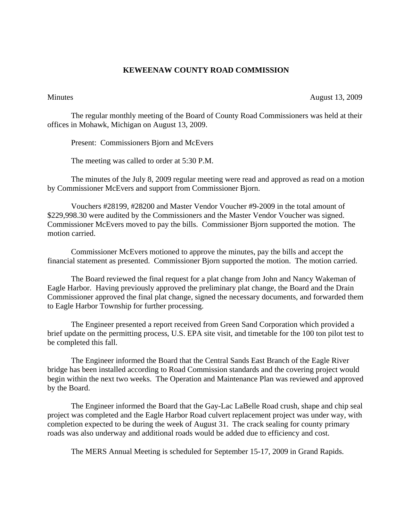## **KEWEENAW COUNTY ROAD COMMISSION**

Minutes August 13, 2009

The regular monthly meeting of the Board of County Road Commissioners was held at their offices in Mohawk, Michigan on August 13, 2009.

Present: Commissioners Bjorn and McEvers

The meeting was called to order at 5:30 P.M.

 The minutes of the July 8, 2009 regular meeting were read and approved as read on a motion by Commissioner McEvers and support from Commissioner Bjorn.

 Vouchers #28199, #28200 and Master Vendor Voucher #9-2009 in the total amount of \$229,998.30 were audited by the Commissioners and the Master Vendor Voucher was signed. Commissioner McEvers moved to pay the bills. Commissioner Bjorn supported the motion. The motion carried.

 Commissioner McEvers motioned to approve the minutes, pay the bills and accept the financial statement as presented. Commissioner Bjorn supported the motion. The motion carried.

 The Board reviewed the final request for a plat change from John and Nancy Wakeman of Eagle Harbor. Having previously approved the preliminary plat change, the Board and the Drain Commissioner approved the final plat change, signed the necessary documents, and forwarded them to Eagle Harbor Township for further processing.

 The Engineer presented a report received from Green Sand Corporation which provided a brief update on the permitting process, U.S. EPA site visit, and timetable for the 100 ton pilot test to be completed this fall.

 The Engineer informed the Board that the Central Sands East Branch of the Eagle River bridge has been installed according to Road Commission standards and the covering project would begin within the next two weeks. The Operation and Maintenance Plan was reviewed and approved by the Board.

 The Engineer informed the Board that the Gay-Lac LaBelle Road crush, shape and chip seal project was completed and the Eagle Harbor Road culvert replacement project was under way, with completion expected to be during the week of August 31. The crack sealing for county primary roads was also underway and additional roads would be added due to efficiency and cost.

The MERS Annual Meeting is scheduled for September 15-17, 2009 in Grand Rapids.